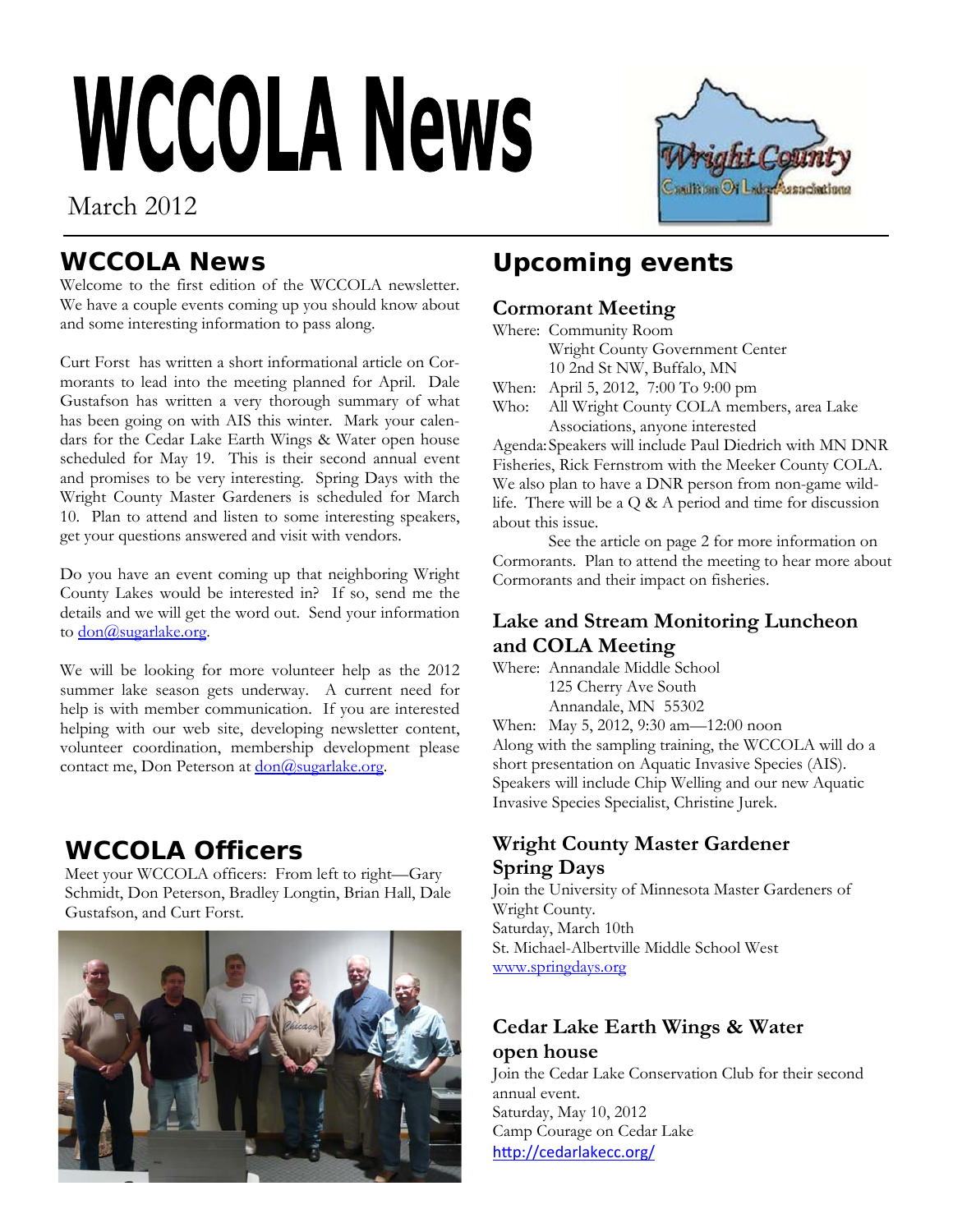# **WCCOLA News**

## March 2012



#### **WCCOLA News**

Welcome to the first edition of the WCCOLA newsletter. We have a couple events coming up you should know about and some interesting information to pass along.

Curt Forst has written a short informational article on Cormorants to lead into the meeting planned for April. Dale Gustafson has written a very thorough summary of what has been going on with AIS this winter. Mark your calendars for the Cedar Lake Earth Wings & Water open house scheduled for May 19. This is their second annual event and promises to be very interesting. Spring Days with the Wright County Master Gardeners is scheduled for March 10. Plan to attend and listen to some interesting speakers, get your questions answered and visit with vendors.

Do you have an event coming up that neighboring Wright County Lakes would be interested in? If so, send me the details and we will get the word out. Send your information to don@sugarlake.org.

We will be looking for more volunteer help as the 2012 summer lake season gets underway. A current need for help is with member communication. If you are interested helping with our web site, developing newsletter content, volunteer coordination, membership development please contact me, Don Peterson at <u>don@sugarlake.org</u>.

## **WCCOLA Officers**

Meet your WCCOLA officers: From left to right—Gary Schmidt, Don Peterson, Bradley Longtin, Brian Hall, Dale Gustafson, and Curt Forst.



## **Upcoming events**

#### **Cormorant Meeting**

Where: Community Room

Wright County Government Center

10 2nd St NW, Buffalo, MN

When: April 5, 2012, 7:00 To 9:00 pm

Who: All Wright County COLA members, area Lake Associations, anyone interested

Agenda: Speakers will include Paul Diedrich with MN DNR Fisheries, Rick Fernstrom with the Meeker County COLA. We also plan to have a DNR person from non-game wildlife. There will be a Q & A period and time for discussion about this issue.

 See the article on page 2 for more information on Cormorants. Plan to attend the meeting to hear more about Cormorants and their impact on fisheries.

#### **Lake and Stream Monitoring Luncheon and COLA Meeting**

Where: Annandale Middle School 125 Cherry Ave South

Annandale, MN 55302

When: May 5, 2012, 9:30 am—12:00 noon Along with the sampling training, the WCCOLA will do a short presentation on Aquatic Invasive Species (AIS). Speakers will include Chip Welling and our new Aquatic Invasive Species Specialist, Christine Jurek.

#### **Wright County Master Gardener Spring Days**

Join the University of Minnesota Master Gardeners of Wright County. Saturday, March 10th St. Michael-Albertville Middle School West www.springdays.org

# **Cedar Lake Earth Wings & Water**

**open house**  Join the Cedar Lake Conservation Club for their second annual event. Saturday, May 10, 2012 Camp Courage on Cedar Lake http://cedarlakecc.org/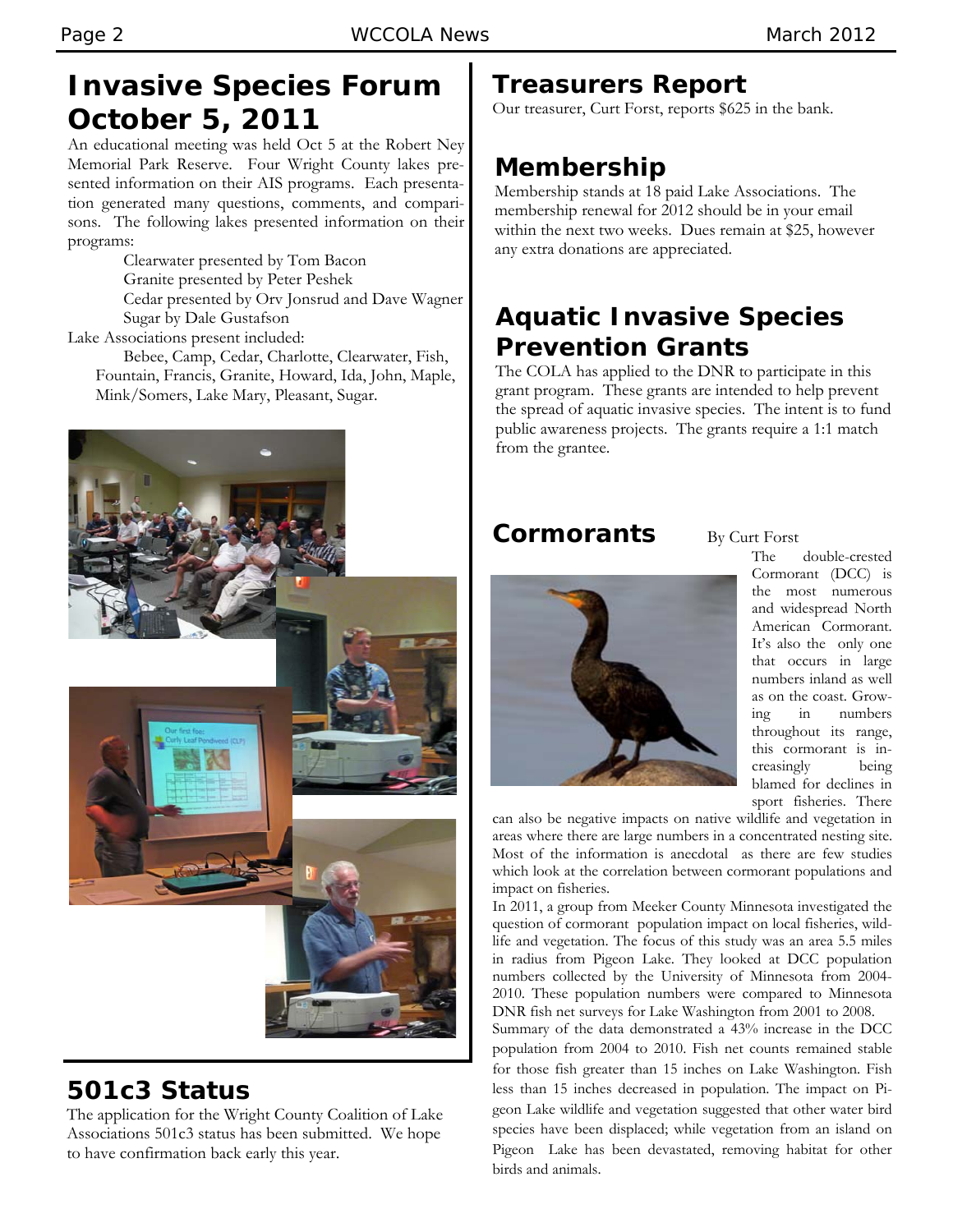## **Invasive Species Forum October 5, 2011**

An educational meeting was held Oct 5 at the Robert Ney Memorial Park Reserve. Four Wright County lakes presented information on their AIS programs. Each presentation generated many questions, comments, and comparisons. The following lakes presented information on their programs:

> Clearwater presented by Tom Bacon Granite presented by Peter Peshek Cedar presented by Orv Jonsrud and Dave Wagner Sugar by Dale Gustafson

Lake Associations present included: Bebee, Camp, Cedar, Charlotte, Clearwater, Fish, Fountain, Francis, Granite, Howard, Ida, John, Maple, Mink/Somers, Lake Mary, Pleasant, Sugar.



## **501c3 Status**

The application for the Wright County Coalition of Lake Associations 501c3 status has been submitted. We hope to have confirmation back early this year.

## **Treasurers Report**

Our treasurer, Curt Forst, reports \$625 in the bank.

## **Membership**

Membership stands at 18 paid Lake Associations. The membership renewal for 2012 should be in your email within the next two weeks. Dues remain at \$25, however any extra donations are appreciated.

## **Aquatic Invasive Species Prevention Grants**

The COLA has applied to the DNR to participate in this grant program. These grants are intended to help prevent the spread of aquatic invasive species. The intent is to fund public awareness projects. The grants require a 1:1 match from the grantee.

#### **Cormorants** By Curt Forst



The double-crested Cormorant (DCC) is the most numerous and widespread North American Cormorant. It's also the only one that occurs in large numbers inland as well as on the coast. Growing in numbers throughout its range, this cormorant is increasingly being blamed for declines in sport fisheries. There

can also be negative impacts on native wildlife and vegetation in areas where there are large numbers in a concentrated nesting site. Most of the information is anecdotal as there are few studies which look at the correlation between cormorant populations and impact on fisheries.

In 2011, a group from Meeker County Minnesota investigated the question of cormorant population impact on local fisheries, wildlife and vegetation. The focus of this study was an area 5.5 miles in radius from Pigeon Lake. They looked at DCC population numbers collected by the University of Minnesota from 2004- 2010. These population numbers were compared to Minnesota DNR fish net surveys for Lake Washington from 2001 to 2008.

Summary of the data demonstrated a 43% increase in the DCC population from 2004 to 2010. Fish net counts remained stable for those fish greater than 15 inches on Lake Washington. Fish less than 15 inches decreased in population. The impact on Pigeon Lake wildlife and vegetation suggested that other water bird species have been displaced; while vegetation from an island on Pigeon Lake has been devastated, removing habitat for other birds and animals.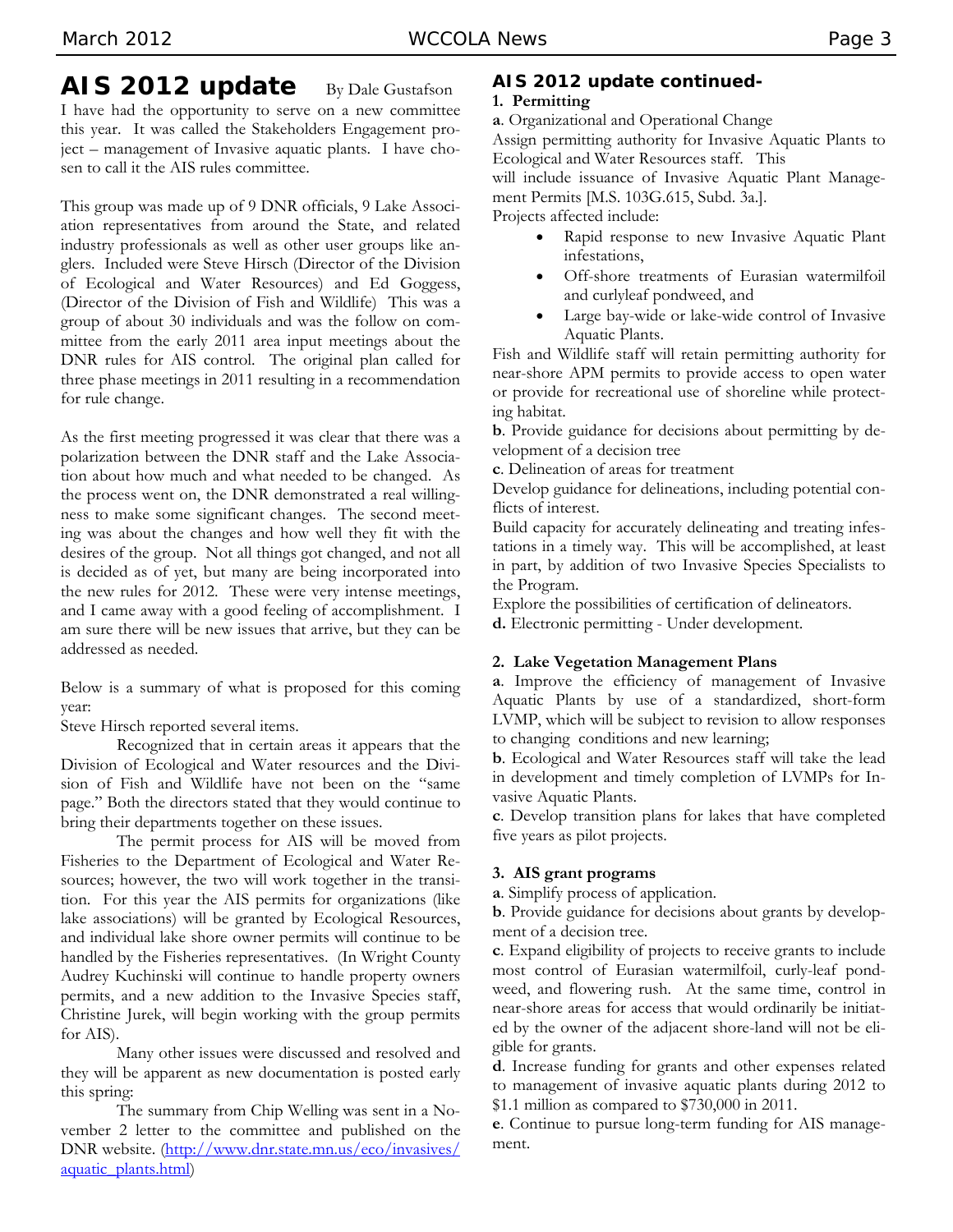#### **AIS 2012 update** By Dale Gustafson I have had the opportunity to serve on a new committee this year. It was called the Stakeholders Engagement project – management of Invasive aquatic plants. I have chosen to call it the AIS rules committee.

This group was made up of 9 DNR officials, 9 Lake Association representatives from around the State, and related industry professionals as well as other user groups like anglers. Included were Steve Hirsch (Director of the Division of Ecological and Water Resources) and Ed Goggess, (Director of the Division of Fish and Wildlife) This was a group of about 30 individuals and was the follow on committee from the early 2011 area input meetings about the DNR rules for AIS control. The original plan called for three phase meetings in 2011 resulting in a recommendation for rule change.

As the first meeting progressed it was clear that there was a polarization between the DNR staff and the Lake Association about how much and what needed to be changed. As the process went on, the DNR demonstrated a real willingness to make some significant changes. The second meeting was about the changes and how well they fit with the desires of the group. Not all things got changed, and not all is decided as of yet, but many are being incorporated into the new rules for 2012. These were very intense meetings, and I came away with a good feeling of accomplishment. I am sure there will be new issues that arrive, but they can be addressed as needed.

Below is a summary of what is proposed for this coming year:

Steve Hirsch reported several items.

 Recognized that in certain areas it appears that the Division of Ecological and Water resources and the Division of Fish and Wildlife have not been on the "same page." Both the directors stated that they would continue to bring their departments together on these issues.

 The permit process for AIS will be moved from Fisheries to the Department of Ecological and Water Resources; however, the two will work together in the transition. For this year the AIS permits for organizations (like lake associations) will be granted by Ecological Resources, and individual lake shore owner permits will continue to be handled by the Fisheries representatives. (In Wright County Audrey Kuchinski will continue to handle property owners permits, and a new addition to the Invasive Species staff, Christine Jurek, will begin working with the group permits for AIS).

 Many other issues were discussed and resolved and they will be apparent as new documentation is posted early this spring:

 The summary from Chip Welling was sent in a November 2 letter to the committee and published on the DNR website. (http://www.dnr.state.mn.us/eco/invasives/ aquatic\_plants.html)

#### **AIS 2012 update continued-1. Permitting**

**a**. Organizational and Operational Change

Assign permitting authority for Invasive Aquatic Plants to Ecological and Water Resources staff. This

will include issuance of Invasive Aquatic Plant Management Permits [M.S. 103G.615, Subd. 3a.].

Projects affected include:

- Rapid response to new Invasive Aquatic Plant infestations,
- Off-shore treatments of Eurasian watermilfoil and curlyleaf pondweed, and
- Large bay-wide or lake-wide control of Invasive Aquatic Plants.

Fish and Wildlife staff will retain permitting authority for near-shore APM permits to provide access to open water or provide for recreational use of shoreline while protecting habitat.

**b**. Provide guidance for decisions about permitting by development of a decision tree

**c**. Delineation of areas for treatment

Develop guidance for delineations, including potential conflicts of interest.

Build capacity for accurately delineating and treating infestations in a timely way. This will be accomplished, at least in part, by addition of two Invasive Species Specialists to the Program.

Explore the possibilities of certification of delineators.

**d.** Electronic permitting - Under development.

#### **2. Lake Vegetation Management Plans**

**a**. Improve the efficiency of management of Invasive Aquatic Plants by use of a standardized, short-form LVMP, which will be subject to revision to allow responses to changing conditions and new learning;

**b**. Ecological and Water Resources staff will take the lead in development and timely completion of LVMPs for Invasive Aquatic Plants.

**c**. Develop transition plans for lakes that have completed five years as pilot projects.

#### **3. AIS grant programs**

**a**. Simplify process of application.

**b**. Provide guidance for decisions about grants by development of a decision tree.

**c**. Expand eligibility of projects to receive grants to include most control of Eurasian watermilfoil, curly-leaf pondweed, and flowering rush. At the same time, control in near-shore areas for access that would ordinarily be initiated by the owner of the adjacent shore-land will not be eligible for grants.

**d**. Increase funding for grants and other expenses related to management of invasive aquatic plants during 2012 to \$1.1 million as compared to \$730,000 in 2011.

**e**. Continue to pursue long-term funding for AIS management.